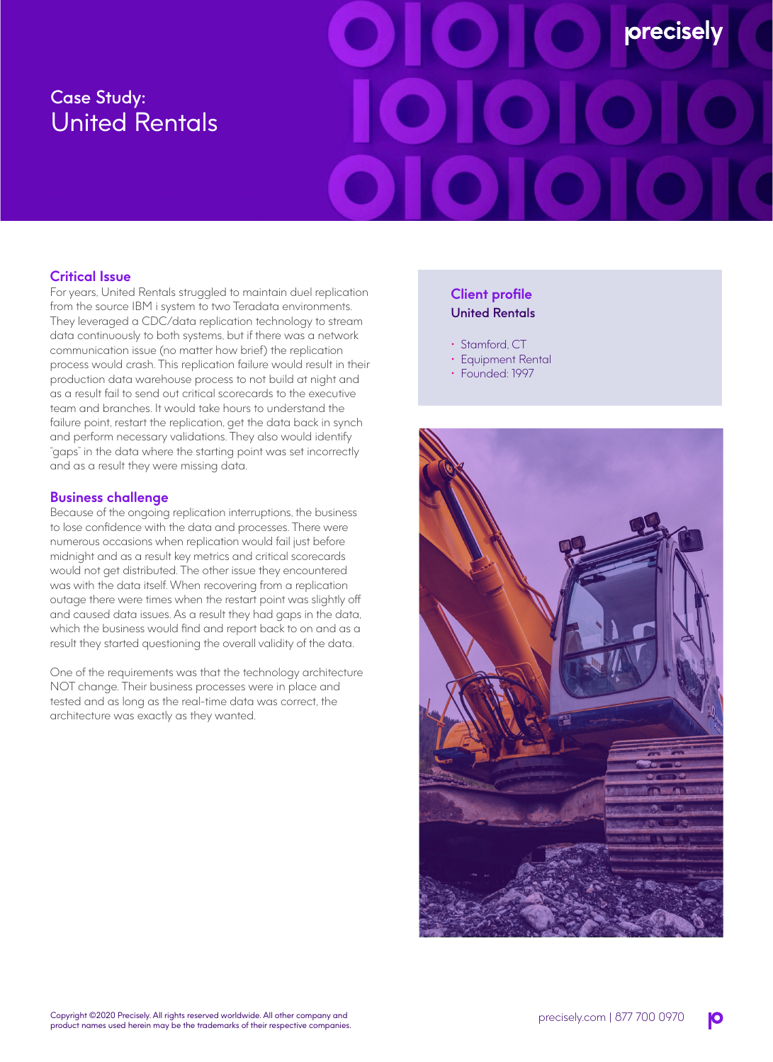# Case Study: United Rentals

# precisely

## **Critical Issue**

For years, United Rentals struggled to maintain duel replication from the source IBM i system to two Teradata environments. They leveraged a CDC/data replication technology to stream data continuously to both systems, but if there was a network communication issue (no matter how brief) the replication process would crash. This replication failure would result in their production data warehouse process to not build at night and as a result fail to send out critical scorecards to the executive team and branches. It would take hours to understand the failure point, restart the replication, get the data back in synch and perform necessary validations. They also would identify "gaps" in the data where the starting point was set incorrectly and as a result they were missing data.

### **Business challenge**

Because of the ongoing replication interruptions, the business to lose confidence with the data and processes. There were numerous occasions when replication would fail just before midnight and as a result key metrics and critical scorecards would not get distributed. The other issue they encountered was with the data itself. When recovering from a replication outage there were times when the restart point was slightly off and caused data issues. As a result they had gaps in the data, which the business would find and report back to on and as a result they started questioning the overall validity of the data.

One of the requirements was that the technology architecture NOT change. Their business processes were in place and tested and as long as the real-time data was correct, the architecture was exactly as they wanted.

### **Client profile** United Rentals

- Stamford, CT
- Equipment Rental
- Founded: 1997